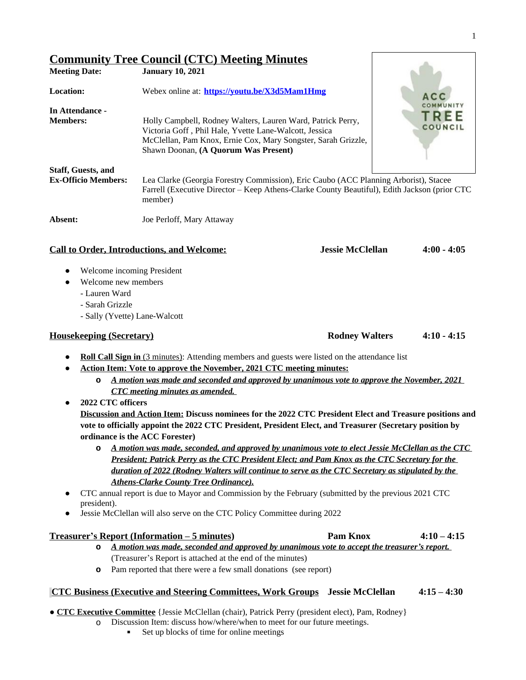|                                                         | <b>Community Tree Council (CTC) Meeting Minutes</b>                                                                                                                                                                            |                         |                 |
|---------------------------------------------------------|--------------------------------------------------------------------------------------------------------------------------------------------------------------------------------------------------------------------------------|-------------------------|-----------------|
| <b>Meeting Date:</b>                                    | <b>January 10, 2021</b>                                                                                                                                                                                                        |                         |                 |
| <b>Location:</b>                                        | Webex online at: https://youtu.be/X3d5Mam1Hmg                                                                                                                                                                                  |                         | A C             |
| In Attendance -<br><b>Members:</b>                      | Holly Campbell, Rodney Walters, Lauren Ward, Patrick Perry,<br>Victoria Goff, Phil Hale, Yvette Lane-Walcott, Jessica<br>McClellan, Pam Knox, Ernie Cox, Mary Songster, Sarah Grizzle,<br>Shawn Doonan, (A Quorum Was Present) |                         | TREE<br>COUNCIL |
| <b>Staff, Guests, and</b><br><b>Ex-Officio Members:</b> | Lea Clarke (Georgia Forestry Commission), Eric Caubo (ACC Planning Arborist), Stacee<br>Farrell (Executive Director – Keep Athens-Clarke County Beautiful), Edith Jackson (prior CTC)<br>member)                               |                         |                 |
| Absent:                                                 | Joe Perloff, Mary Attaway                                                                                                                                                                                                      |                         |                 |
|                                                         | <b>Call to Order, Introductions, and Welcome:</b>                                                                                                                                                                              | <b>Jessie McClellan</b> | $4:00 - 4:05$   |

- Welcome incoming President
- Welcome new members
	- Lauren Ward
	- Sarah Grizzle
	- Sally (Yvette) Lane-Walcott

#### **Housekeeping (Secretary) Rodney Walters 4:10 - 4:15**

- **● Roll Call Sign in** (3 minutes): Attending members and guests were listed on the attendance list
- **● Action Item: Vote to approve the November, 2021 CTC meeting minutes:**
	- **o** *A motion was made and seconded and approved by unanimous vote to approve the November, 2021 CTC meeting minutes as amended.*
- **● 2022 CTC officers**

**Discussion and Action Item: Discuss nominees for the 2022 CTC President Elect and Treasure positions and vote to officially appoint the 2022 CTC President, President Elect, and Treasurer (Secretary position by ordinance is the ACC Forester)**

- **o** *A motion was made, seconded, and approved by unanimous vote to elect Jessie McClellan as the CTC President; Patrick Perry as the CTC President Elect; and Pam Knox as the CTC Secretary for the duration of 2022 (Rodney Walters will continue to serve as the CTC Secretary as stipulated by the Athens-Clarke County Tree Ordinance).*
- CTC annual report is due to Mayor and Commission by the February (submitted by the previous 2021 CTC president).
- Jessie McClellan will also serve on the CTC Policy Committee during 2022

#### **Treasurer's Report (Information – 5 minutes) Pam Knox 4:10 – 4:15 o** *A motion was made, seconded and approved by unanimous vote to accept the treasurer's report.*

- (Treasurer's Report is attached at the end of the minutes)
- **o** Pam reported that there were a few small donations (see report)

#### **CTC Business (Executive and Steering Committees, Work Groups Jessie McClellan 4:15 – 4:30**

- **CTC Executive Committee** {Jessie McClellan (chair), Patrick Perry (president elect), Pam, Rodney}
	- o Discussion Item: discuss how/where/when to meet for our future meetings.
		- Set up blocks of time for online meetings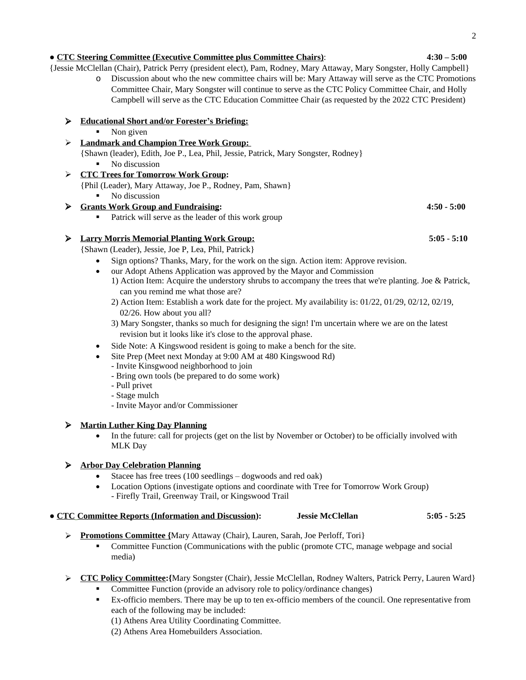# ● **CTC Steering Committee (Executive Committee plus Committee Chairs)**: **4:30 – 5:00**

{Jessie McClellan (Chair), Patrick Perry (president elect), Pam, Rodney, Mary Attaway, Mary Songster, Holly Campbell}

o Discussion about who the new committee chairs will be: Mary Attaway will serve as the CTC Promotions Committee Chair, Mary Songster will continue to serve as the CTC Policy Committee Chair, and Holly Campbell will serve as the CTC Education Committee Chair (as requested by the 2022 CTC President)

## **Educational Short and/or Forester's Briefing:**

 $\blacksquare$  Non given

## **Landmark and Champion Tree Work Group:**

{Shawn (leader), Edith, Joe P., Lea, Phil, Jessie, Patrick, Mary Songster, Rodney}

- No discussion
- **CTC Trees for Tomorrow Work Group:** 
	- {Phil (Leader), Mary Attaway, Joe P., Rodney, Pam, Shawn}
		- No discussion
- **Grants Work Group and Fundraising: 4:50 5:00**
	- **Patrick will serve as the leader of this work group**

# **Larry Morris Memorial Planting Work Group: 5:05** - **5:10**

{Shawn (Leader), Jessie, Joe P, Lea, Phil, Patrick}

- Sign options? Thanks, Mary, for the work on the sign. Action item: Approve revision.
- our Adopt Athens Application was approved by the Mayor and Commission
	- 1) Action Item: Acquire the understory shrubs to accompany the trees that we're planting. Joe & Patrick, can you remind me what those are?
	- 2) Action Item: Establish a work date for the project. My availability is: 01/22, 01/29, 02/12, 02/19, 02/26. How about you all?
	- 3) Mary Songster, thanks so much for designing the sign! I'm uncertain where we are on the latest revision but it looks like it's close to the approval phase.
- Side Note: A Kingswood resident is going to make a bench for the site.
- Site Prep (Meet next Monday at 9:00 AM at 480 Kingswood Rd)
	- Invite Kinsgwood neighborhood to join
	- Bring own tools (be prepared to do some work)
	- Pull privet
	- Stage mulch
	- Invite Mayor and/or Commissioner

# **Martin Luther King Day Planning**

• In the future: call for projects (get on the list by November or October) to be officially involved with MLK Day

# **Arbor Day Celebration Planning**

- Stacee has free trees (100 seedlings dogwoods and red oak)
- Location Options (investigate options and coordinate with Tree for Tomorrow Work Group) - Firefly Trail, Greenway Trail, or Kingswood Trail

### ● **CTC Committee Reports (Information and Discussion): Jessie McClellan 5:05 - 5:25**

- 
- **Promotions Committee {**Mary Attaway (Chair), Lauren, Sarah, Joe Perloff, Tori}
	- Committee Function (Communications with the public (promote CTC, manage webpage and social media)
- **CTC Policy Committee:{**Mary Songster (Chair), Jessie McClellan, Rodney Walters, Patrick Perry, Lauren Ward}
	- Committee Function (provide an advisory role to policy/ordinance changes)
	- Ex-officio members. There may be up to ten ex-officio members of the council. One representative from each of the following may be included:
		- (1) Athens Area Utility Coordinating Committee.
		- (2) Athens Area Homebuilders Association.